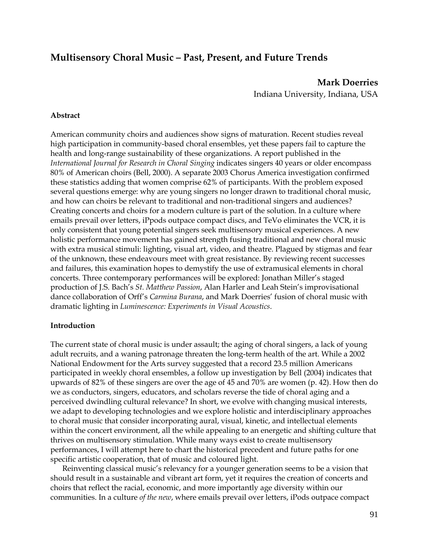## **Multisensory Choral Music – Past, Present, and Future Trends**

**Mark Doerries**  Indiana University, Indiana, USA

## **Abstract**

American community choirs and audiences show signs of maturation. Recent studies reveal high participation in community-based choral ensembles, yet these papers fail to capture the health and long-range sustainability of these organizations. A report published in the *International Journal for Research in Choral Singing* indicates singers 40 years or older encompass 80% of American choirs (Bell, 2000). A separate 2003 Chorus America investigation confirmed these statistics adding that women comprise 62% of participants. With the problem exposed several questions emerge: why are young singers no longer drawn to traditional choral music, and how can choirs be relevant to traditional and non-traditional singers and audiences? Creating concerts and choirs for a modern culture is part of the solution. In a culture where emails prevail over letters, iPpods outpace compact discs, and TeVo eliminates the VCR, it is only consistent that young potential singers seek multisensory musical experiences. A new holistic performance movement has gained strength fusing traditional and new choral music with extra musical stimuli: lighting, visual art, video, and theatre. Plagued by stigmas and fear of the unknown, these endeavours meet with great resistance. By reviewing recent successes and failures, this examination hopes to demystify the use of extramusical elements in choral concerts. Three contemporary performances will be explored: Jonathan Miller's staged production of J.S. Bach's *St. Matthew Passion*, Alan Harler and Leah Stein's improvisational dance collaboration of Orff's *Carmina Burana*, and Mark Doerries' fusion of choral music with dramatic lighting in *Luminescence: Experiments in Visual Acoustics*.

## **Introduction**

The current state of choral music is under assault; the aging of choral singers, a lack of young adult recruits, and a waning patronage threaten the long-term health of the art. While a 2002 National Endowment for the Arts survey suggested that a record 23.5 million Americans participated in weekly choral ensembles, a follow up investigation by Bell (2004) indicates that upwards of 82% of these singers are over the age of 45 and 70% are women (p. 42). How then do we as conductors, singers, educators, and scholars reverse the tide of choral aging and a perceived dwindling cultural relevance? In short, we evolve with changing musical interests, we adapt to developing technologies and we explore holistic and interdisciplinary approaches to choral music that consider incorporating aural, visual, kinetic, and intellectual elements within the concert environment, all the while appealing to an energetic and shifting culture that thrives on multisensory stimulation. While many ways exist to create multisensory performances, I will attempt here to chart the historical precedent and future paths for one specific artistic cooperation, that of music and coloured light.

Reinventing classical music's relevancy for a younger generation seems to be a vision that should result in a sustainable and vibrant art form, yet it requires the creation of concerts and choirs that reflect the racial, economic, and more importantly age diversity within our communities. In a culture *of the new*, where emails prevail over letters, iPods outpace compact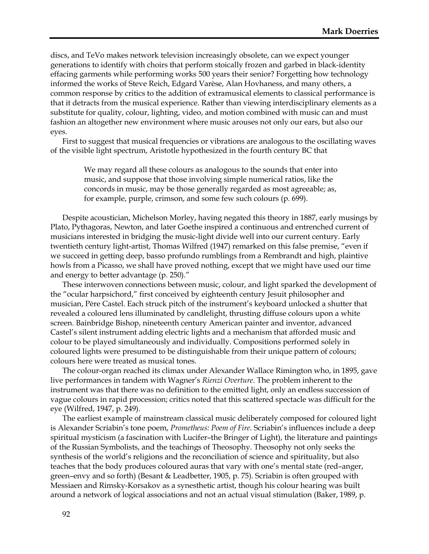discs, and TeVo makes network television increasingly obsolete, can we expect younger generations to identify with choirs that perform stoically frozen and garbed in black-identity effacing garments while performing works 500 years their senior? Forgetting how technology informed the works of Steve Reich, Edgard Varèse, Alan Hovhaness, and many others, a common response by critics to the addition of extramusical elements to classical performance is that it detracts from the musical experience. Rather than viewing interdisciplinary elements as a substitute for quality, colour, lighting, video, and motion combined with music can and must fashion an altogether new environment where music arouses not only our ears, but also our eyes.

First to suggest that musical frequencies or vibrations are analogous to the oscillating waves of the visible light spectrum, Aristotle hypothesized in the fourth century BC that

> We may regard all these colours as analogous to the sounds that enter into music, and suppose that those involving simple numerical ratios, like the concords in music, may be those generally regarded as most agreeable; as, for example, purple, crimson, and some few such colours (p. 699).

Despite acoustician, Michelson Morley, having negated this theory in 1887, early musings by Plato, Pythagoras, Newton, and later Goethe inspired a continuous and entrenched current of musicians interested in bridging the music-light divide well into our current century. Early twentieth century light-artist, Thomas Wilfred (1947) remarked on this false premise, "even if we succeed in getting deep, basso profundo rumblings from a Rembrandt and high, plaintive howls from a Picasso, we shall have proved nothing, except that we might have used our time and energy to better advantage (p. 250)."

These interwoven connections between music, colour, and light sparked the development of the "ocular harpsichord," first conceived by eighteenth century Jesuit philosopher and musician, Père Castel. Each struck pitch of the instrument's keyboard unlocked a shutter that revealed a coloured lens illuminated by candlelight, thrusting diffuse colours upon a white screen. Bainbridge Bishop, nineteenth century American painter and inventor, advanced Castel's silent instrument adding electric lights and a mechanism that afforded music and colour to be played simultaneously and individually. Compositions performed solely in coloured lights were presumed to be distinguishable from their unique pattern of colours; colours here were treated as musical tones.

The colour-organ reached its climax under Alexander Wallace Rimington who, in 1895, gave live performances in tandem with Wagner's *Rienzi Overture*. The problem inherent to the instrument was that there was no definition to the emitted light, only an endless succession of vague colours in rapid procession; critics noted that this scattered spectacle was difficult for the eye (Wilfred, 1947, p. 249).

The earliest example of mainstream classical music deliberately composed for coloured light is Alexander Scriabin's tone poem, *Prometheus: Poem of Fire*. Scriabin's influences include a deep spiritual mysticism (a fascination with Lucifer–the Bringer of Light), the literature and paintings of the Russian Symbolists, and the teachings of Theosophy. Theosophy not only seeks the synthesis of the world's religions and the reconciliation of science and spirituality, but also teaches that the body produces coloured auras that vary with one's mental state (red–anger, green–envy and so forth) (Besant & Leadbetter, 1905, p. 75). Scriabin is often grouped with Messiaen and Rimsky-Korsakov as a synesthetic artist, though his colour hearing was built around a network of logical associations and not an actual visual stimulation (Baker, 1989, p.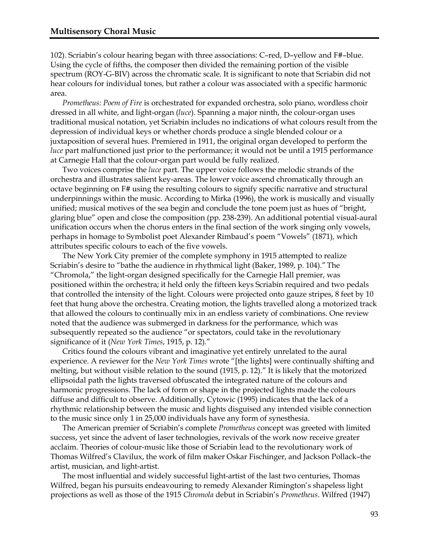102). Scriabin's colour hearing began with three associations: C–red, D–yellow and F#–blue. Using the cycle of fifths, the composer then divided the remaining portion of the visible spectrum (ROY-G-BIV) across the chromatic scale. It is significant to note that Scriabin did not hear colours for individual tones, but rather a colour was associated with a specific harmonic area.

*Prometheus: Poem of Fire* is orchestrated for expanded orchestra, solo piano, wordless choir dressed in all white, and light-organ (*luce*). Spanning a major ninth, the colour-organ uses traditional musical notation, yet Scriabin includes no indications of what colours result from the depression of individual keys or whether chords produce a single blended colour or a juxtaposition of several hues. Premiered in 1911, the original organ developed to perform the *luce* part malfunctioned just prior to the performance; it would not be until a 1915 performance at Carnegie Hall that the colour-organ part would be fully realized.

Two voices comprise the *luce* part. The upper voice follows the melodic strands of the orchestra and illustrates salient key-areas. The lower voice ascend chromatically through an octave beginning on F# using the resulting colours to signify specific narrative and structural underpinnings within the music. According to Mirka (1996), the work is musically and visually unified; musical motives of the sea begin and conclude the tone poem just as hues of "bright, glaring blue" open and close the composition (pp. 238-239). An additional potential visual-aural unification occurs when the chorus enters in the final section of the work singing only vowels, perhaps in homage to Symbolist poet Alexander Rimbaud's poem "Vowels" (1871)*,* which attributes specific colours to each of the five vowels.

The New York City premier of the complete symphony in 1915 attempted to realize Scriabin's desire to "bathe the audience in rhythmical light (Baker, 1989, p. 104)."The "Chromola," the light-organ designed specifically for the Carnegie Hall premier, was positioned within the orchestra; it held only the fifteen keys Scriabin required and two pedals that controlled the intensity of the light. Colours were projected onto gauze stripes, 8 feet by 10 feet that hung above the orchestra. Creating motion, the lights travelled along a motorized track that allowed the colours to continually mix in an endless variety of combinations. One review noted that the audience was submerged in darkness for the performance*,* which was subsequently repeated so the audience "or spectators, could take in the revolutionary significance of it (*New York Times*, 1915, p. 12)."

Critics found the colours vibrant and imaginative yet entirely unrelated to the aural experience. A reviewer for the *New York Times* wrote "[the lights] were continually shifting and melting, but without visible relation to the sound (1915, p. 12)." It is likely that the motorized ellipsoidal path the lights traversed obfuscated the integrated nature of the colours and harmonic progressions. The lack of form or shape in the projected lights made the colours diffuse and difficult to observe. Additionally, Cytowic (1995) indicates that the lack of a rhythmic relationship between the music and lights disguised any intended visible connection to the music since only 1 in 25,000 individuals have any form of synesthesia.

The American premier of Scriabin's complete *Prometheus* concept was greeted with limited success, yet since the advent of laser technologies, revivals of the work now receive greater acclaim. Theories of colour-music like those of Scriabin lead to the revolutionary work of Thomas Wilfred's Clavilux, the work of film maker Oskar Fischinger, and Jackson Pollack–the artist, musician, and light-artist.

The most influential and widely successful light-artist of the last two centuries, Thomas Wilfred, began his pursuits endeavouring to remedy Alexander Rimington's shapeless light projections as well as those of the 1915 *Chromola* debut in Scriabin's *Prometheus*. Wilfred (1947)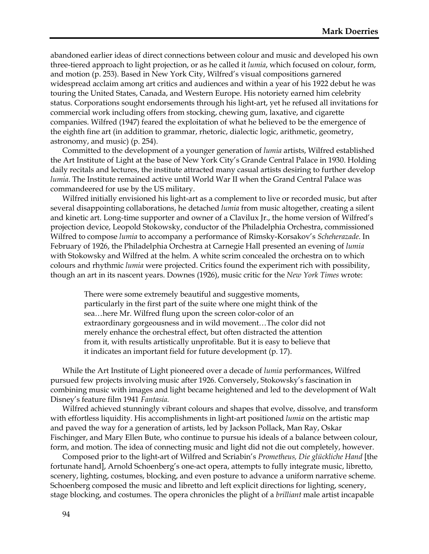abandoned earlier ideas of direct connections between colour and music and developed his own three-tiered approach to light projection, or as he called it *lumia*, which focused on colour, form, and motion (p. 253). Based in New York City, Wilfred's visual compositions garnered widespread acclaim among art critics and audiences and within a year of his 1922 debut he was touring the United States, Canada, and Western Europe. His notoriety earned him celebrity status. Corporations sought endorsements through his light-art, yet he refused all invitations for commercial work including offers from stocking, chewing gum, laxative, and cigarette companies. Wilfred (1947) feared the exploitation of what he believed to be the emergence of the eighth fine art (in addition to grammar, rhetoric, dialectic logic, arithmetic, geometry, astronomy, and music) (p. 254).

Committed to the development of a younger generation of *lumia* artists, Wilfred established the Art Institute of Light at the base of New York City's Grande Central Palace in 1930. Holding daily recitals and lectures, the institute attracted many casual artists desiring to further develop *lumia*. The Institute remained active until World War II when the Grand Central Palace was commandeered for use by the US military.

Wilfred initially envisioned his light-art as a complement to live or recorded music, but after several disappointing collaborations, he detached *lumia* from music altogether, creating a silent and kinetic art. Long-time supporter and owner of a Clavilux Jr., the home version of Wilfred's projection device, Leopold Stokowsky, conductor of the Philadelphia Orchestra, commissioned Wilfred to compose *lumia* to accompany a performance of Rimsky-Korsakov's *Scheherazade*. In February of 1926, the Philadelphia Orchestra at Carnegie Hall presented an evening of *lumia*  with Stokowsky and Wilfred at the helm. A white scrim concealed the orchestra on to which colours and rhythmic *lumia* were projected. Critics found the experiment rich with possibility, though an art in its nascent years. Downes (1926), music critic for the *New York Times* wrote:

> There were some extremely beautiful and suggestive moments, particularly in the first part of the suite where one might think of the sea…here Mr. Wilfred flung upon the screen color-color of an extraordinary gorgeousness and in wild movement…The color did not merely enhance the orchestral effect, but often distracted the attention from it, with results artistically unprofitable. But it is easy to believe that it indicates an important field for future development (p. 17).

While the Art Institute of Light pioneered over a decade of *lumia* performances, Wilfred pursued few projects involving music after 1926. Conversely, Stokowsky's fascination in combining music with images and light became heightened and led to the development of Walt Disney's feature film 1941 *Fantasia.*

Wilfred achieved stunningly vibrant colours and shapes that evolve, dissolve, and transform with effortless liquidity. His accomplishments in light-art positioned *lumia* on the artistic map and paved the way for a generation of artists, led by Jackson Pollack, Man Ray, Oskar Fischinger, and Mary Ellen Bute, who continue to pursue his ideals of a balance between colour, form, and motion. The idea of connecting music and light did not die out completely, however.

Composed prior to the light-art of Wilfred and Scriabin's *Prometheus, Die glückliche Hand* [the fortunate hand], Arnold Schoenberg's one-act opera, attempts to fully integrate music, libretto, scenery, lighting, costumes, blocking, and even posture to advance a uniform narrative scheme. Schoenberg composed the music and libretto and left explicit directions for lighting, scenery, stage blocking, and costumes. The opera chronicles the plight of a *brilliant* male artist incapable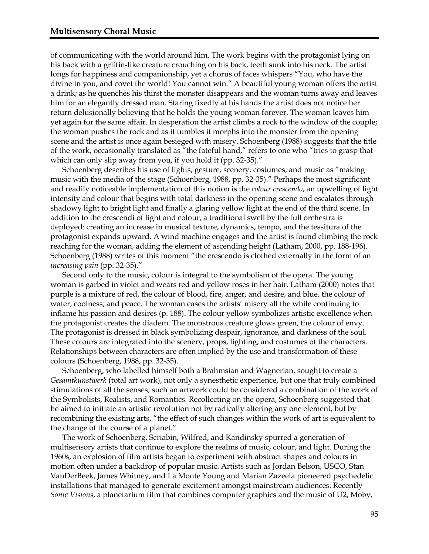of communicating with the world around him. The work begins with the protagonist lying on his back with a griffin-like creature crouching on his back, teeth sunk into his neck. The artist longs for happiness and companionship, yet a chorus of faces whispers "You, who have the divine in you, and covet the world! You cannot win." A beautiful young woman offers the artist a drink; as he quenches his thirst the monster disappears and the woman turns away and leaves him for an elegantly dressed man. Staring fixedly at his hands the artist does not notice her return delusionally believing that he holds the young woman forever. The woman leaves him yet again for the same affair. In desperation the artist climbs a rock to the window of the couple; the woman pushes the rock and as it tumbles it morphs into the monster from the opening scene and the artist is once again besieged with misery. Schoenberg (1988) suggests that the title of the work, occasionally translated as "the fateful hand," refers to one who "tries to grasp that which can only slip away from you, if you hold it (pp. 32-35)."

Schoenberg describes his use of lights, gesture, scenery, costumes, and music as "making music with the media of the stage (Schoenberg, 1988, pp. 32-35)." Perhaps the most significant and readily noticeable implementation of this notion is the *colour crescendo*, an upwelling of light intensity and colour that begins with total darkness in the opening scene and escalates through shadowy light to bright light and finally a glaring yellow light at the end of the third scene. In addition to the crescendi of light and colour, a traditional swell by the full orchestra is deployed: creating an increase in musical texture, dynamics, tempo, and the tessitura of the protagonist expands upward. A wind machine engages and the artist is found climbing the rock reaching for the woman, adding the element of ascending height (Latham, 2000, pp. 188-196). Schoenberg (1988) writes of this moment "the crescendo is clothed externally in the form of an *increasing pain* (pp. 32-35)."

Second only to the music, colour is integral to the symbolism of the opera. The young woman is garbed in violet and wears red and yellow roses in her hair. Latham (2000) notes that purple is a mixture of red, the colour of blood, fire, anger, and desire, and blue, the colour of water, coolness, and peace. The woman eases the artists' misery all the while continuing to inflame his passion and desires (p. 188). The colour yellow symbolizes artistic excellence when the protagonist creates the diadem. The monstrous creature glows green, the colour of envy. The protagonist is dressed in black symbolizing despair, ignorance, and darkness of the soul. These colours are integrated into the scenery, props, lighting, and costumes of the characters. Relationships between characters are often implied by the use and transformation of these colours (Schoenberg, 1988, pp. 32-35).

Schoenberg, who labelled himself both a Brahmsian and Wagnerian, sought to create a *Gesamtkunstwerk* (total art work), not only a synesthetic experience, but one that truly combined stimulations of all the senses; such an artwork could be considered a combination of the work of the Symbolists, Realists, and Romantics. Recollecting on the opera, Schoenberg suggested that he aimed to initiate an artistic revolution not by radically altering any one element, but by recombining the existing arts, "the effect of such changes within the work of art is equivalent to the change of the course of a planet."

The work of Schoenberg, Scriabin, Wilfred, and Kandinsky spurred a generation of multisensory artists that continue to explore the realms of music, colour, and light. During the 1960s, an explosion of film artists began to experiment with abstract shapes and colours in motion often under a backdrop of popular music. Artists such as Jordan Belson, USCO, Stan VanDerBeek, James Whitney, and La Monte Young and Marian Zazeela pioneered psychedelic installations that managed to generate excitement amongst mainstream audiences. Recently *Sonic Visions*, a planetarium film that combines computer graphics and the music of U2, Moby,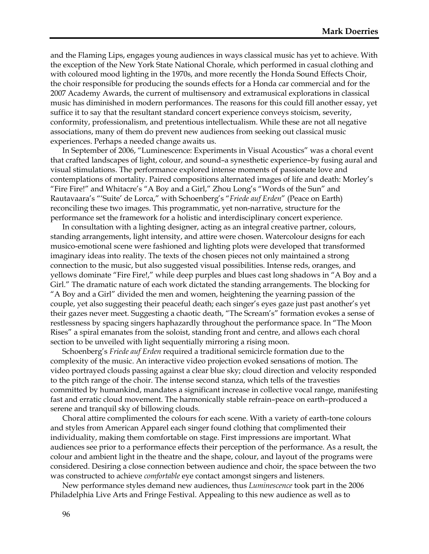and the Flaming Lips, engages young audiences in ways classical music has yet to achieve. With the exception of the New York State National Chorale, which performed in casual clothing and with coloured mood lighting in the 1970s, and more recently the Honda Sound Effects Choir, the choir responsible for producing the sounds effects for a Honda car commercial and for the 2007 Academy Awards, the current of multisensory and extramusical explorations in classical music has diminished in modern performances. The reasons for this could fill another essay, yet suffice it to say that the resultant standard concert experience conveys stoicism, severity, conformity, professionalism, and pretentious intellectualism. While these are not all negative associations, many of them do prevent new audiences from seeking out classical music experiences. Perhaps a needed change awaits us.

In September of 2006, "Luminescence: Experiments in Visual Acoustics" was a choral event that crafted landscapes of light, colour, and sound–a synesthetic experience–by fusing aural and visual stimulations. The performance explored intense moments of passionate love and contemplations of mortality. Paired compositions alternated images of life and death: Morley's "Fire Fire!" and Whitacre's "A Boy and a Girl," Zhou Long's "Words of the Sun" and Rautavaara's "'Suite' de Lorca," with Schoenberg's "*Friede auf Erden*" (Peace on Earth) reconciling these two images. This programmatic, yet non-narrative, structure for the performance set the framework for a holistic and interdisciplinary concert experience.

In consultation with a lighting designer, acting as an integral creative partner, colours, standing arrangements, light intensity, and attire were chosen. Watercolour designs for each musico-emotional scene were fashioned and lighting plots were developed that transformed imaginary ideas into reality. The texts of the chosen pieces not only maintained a strong connection to the music, but also suggested visual possibilities. Intense reds, oranges, and yellows dominate "Fire Fire!," while deep purples and blues cast long shadows in "A Boy and a Girl." The dramatic nature of each work dictated the standing arrangements. The blocking for "A Boy and a Girl" divided the men and women, heightening the yearning passion of the couple, yet also suggesting their peaceful death; each singer's eyes gaze just past another's yet their gazes never meet. Suggesting a chaotic death, "The Scream's" formation evokes a sense of restlessness by spacing singers haphazardly throughout the performance space. In "The Moon Rises" a spiral emanates from the soloist, standing front and centre, and allows each choral section to be unveiled with light sequentially mirroring a rising moon.

Schoenberg's *Friede auf Erden* required a traditional semicircle formation due to the complexity of the music. An interactive video projection evoked sensations of motion. The video portrayed clouds passing against a clear blue sky; cloud direction and velocity responded to the pitch range of the choir. The intense second stanza, which tells of the travesties committed by humankind, mandates a significant increase in collective vocal range, manifesting fast and erratic cloud movement. The harmonically stable refrain–peace on earth–produced a serene and tranquil sky of billowing clouds.

Choral attire complimented the colours for each scene. With a variety of earth-tone colours and styles from American Apparel each singer found clothing that complimented their individuality, making them comfortable on stage. First impressions are important. What audiences see prior to a performance effects their perception of the performance. As a result, the colour and ambient light in the theatre and the shape, colour, and layout of the programs were considered. Desiring a close connection between audience and choir, the space between the two was constructed to achieve *comfortable* eye contact amongst singers and listeners.

New performance styles demand new audiences, thus *Luminescence* took part in the 2006 Philadelphia Live Arts and Fringe Festival. Appealing to this new audience as well as to